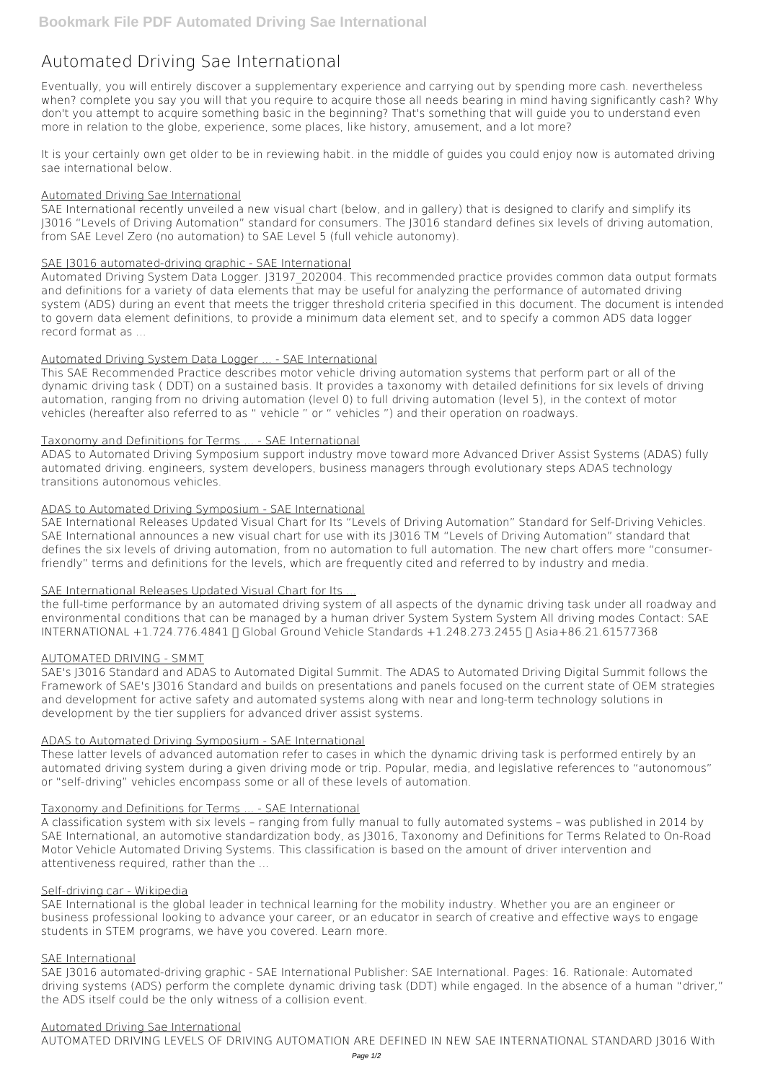# **Automated Driving Sae International**

Eventually, you will entirely discover a supplementary experience and carrying out by spending more cash. nevertheless when? complete you say you will that you require to acquire those all needs bearing in mind having significantly cash? Why don't you attempt to acquire something basic in the beginning? That's something that will guide you to understand even more in relation to the globe, experience, some places, like history, amusement, and a lot more?

It is your certainly own get older to be in reviewing habit. in the middle of guides you could enjoy now is **automated driving sae international** below.

## Automated Driving Sae International

Automated Driving System Data Logger. J3197 202004. This recommended practice provides common data output formats and definitions for a variety of data elements that may be useful for analyzing the performance of automated driving system (ADS) during an event that meets the trigger threshold criteria specified in this document. The document is intended to govern data element definitions, to provide a minimum data element set, and to specify a common ADS data logger record format as ...

SAE International recently unveiled a new visual chart (below, and in gallery) that is designed to clarify and simplify its J3016 "Levels of Driving Automation" standard for consumers. The J3016 standard defines six levels of driving automation, from SAE Level Zero (no automation) to SAE Level 5 (full vehicle autonomy).

## SAE J3016 automated-driving graphic - SAE International

the full-time performance by an automated driving system of all aspects of the dynamic driving task under all roadway and environmental conditions that can be managed by a human driver System System System All driving modes Contact: SAE INTERNATIONAL +1.724.776.4841 | Global Ground Vehicle Standards +1.248.273.2455 | Asia+86.21.61577368

# Automated Driving System Data Logger ... - SAE International

This SAE Recommended Practice describes motor vehicle driving automation systems that perform part or all of the dynamic driving task ( DDT) on a sustained basis. It provides a taxonomy with detailed definitions for six levels of driving automation, ranging from no driving automation (level 0) to full driving automation (level 5), in the context of motor vehicles (hereafter also referred to as " vehicle " or " vehicles ") and their operation on roadways.

# Taxonomy and Definitions for Terms ... - SAE International

ADAS to Automated Driving Symposium support industry move toward more Advanced Driver Assist Systems (ADAS) fully automated driving. engineers, system developers, business managers through evolutionary steps ADAS technology transitions autonomous vehicles.

# ADAS to Automated Driving Symposium - SAE International

SAE International Releases Updated Visual Chart for Its "Levels of Driving Automation" Standard for Self-Driving Vehicles. SAE International announces a new visual chart for use with its J3016 TM "Levels of Driving Automation" standard that defines the six levels of driving automation, from no automation to full automation. The new chart offers more "consumerfriendly" terms and definitions for the levels, which are frequently cited and referred to by industry and media.

# SAE International Releases Updated Visual Chart for Its ...

# AUTOMATED DRIVING - SMMT

SAE's J3016 Standard and ADAS to Automated Digital Summit. The ADAS to Automated Driving Digital Summit follows the Framework of SAE's J3016 Standard and builds on presentations and panels focused on the current state of OEM strategies and development for active safety and automated systems along with near and long-term technology solutions in development by the tier suppliers for advanced driver assist systems.

## ADAS to Automated Driving Symposium - SAE International

These latter levels of advanced automation refer to cases in which the dynamic driving task is performed entirely by an automated driving system during a given driving mode or trip. Popular, media, and legislative references to "autonomous" or "self-driving" vehicles encompass some or all of these levels of automation.

## Taxonomy and Definitions for Terms ... - SAE International

A classification system with six levels – ranging from fully manual to fully automated systems – was published in 2014 by SAE International, an automotive standardization body, as J3016, Taxonomy and Definitions for Terms Related to On-Road Motor Vehicle Automated Driving Systems. This classification is based on the amount of driver intervention and attentiveness required, rather than the ...

# Self-driving car - Wikipedia

SAE International is the global leader in technical learning for the mobility industry. Whether you are an engineer or business professional looking to advance your career, or an educator in search of creative and effective ways to engage students in STEM programs, we have you covered. Learn more.

#### SAE International

SAE J3016 automated-driving graphic - SAE International Publisher: SAE International. Pages: 16. Rationale: Automated driving systems (ADS) perform the complete dynamic driving task (DDT) while engaged. In the absence of a human "driver," the ADS itself could be the only witness of a collision event.

## Automated Driving Sae International

AUTOMATED DRIVING LEVELS OF DRIVING AUTOMATION ARE DEFINED IN NEW SAE INTERNATIONAL STANDARD J3016 With